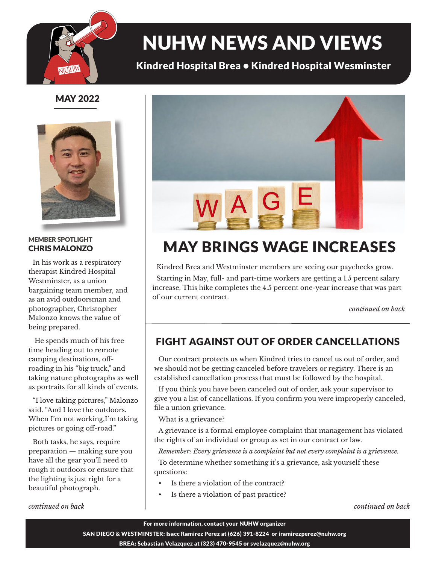

# NUHW NEWS AND VIEWS

### Kindred Hospital Brea • Kindred Hospital Wesminster

### MAY 2022



#### MEMBER SPOTLIGHT CHRIS MALONZO

In his work as a respiratory therapist Kindred Hospital Westminster, as a union bargaining team member, and as an avid outdoorsman and photographer, Christopher Malonzo knows the value of being prepared.

 He spends much of his free time heading out to remote camping destinations, offroading in his "big truck," and taking nature photographs as well as portraits for all kinds of events.

"I love taking pictures," Malonzo said. "And I love the outdoors. When I'm not working,I'm taking pictures or going off-road."

Both tasks, he says, require preparation — making sure you have all the gear you'll need to rough it outdoors or ensure that the lighting is just right for a beautiful photograph.

*continued on back*



## MAY BRINGS WAGE INCREASES

Kindred Brea and Westminster members are seeing our paychecks grow.

Starting in May, full- and part-time workers are getting a 1.5 percent salary increase. This hike completes the 4.5 percent one-year increase that was part of our current contract.

*continued on back*

### FIGHT AGAINST OUT OF ORDER CANCELLATIONS

Our contract protects us when Kindred tries to cancel us out of order, and we should not be getting canceled before travelers or registry. There is an established cancellation process that must be followed by the hospital.

If you think you have been canceled out of order, ask your supervisor to give you a list of cancellations. If you confirm you were improperly canceled, file a union grievance.

What is a grievance?

A grievance is a formal employee complaint that management has violated the rights of an individual or group as set in our contract or law.

*Remember: Every grievance is a complaint but not every complaint is a grievance.*

To determine whether something it's a grievance, ask yourself these questions:

- Is there a violation of the contract?
- Is there a violation of past practice?

*continued on back*

For more information, contact your NUHW organizer

SAN DIEGO & WESTMINSTER: Isacc Ramirez Perez at (626) 391-8224 or iramirezperez@nuhw.org

BREA: Sebastian Velazquez at (323) 470-9545 or svelazquez@nuhw.org